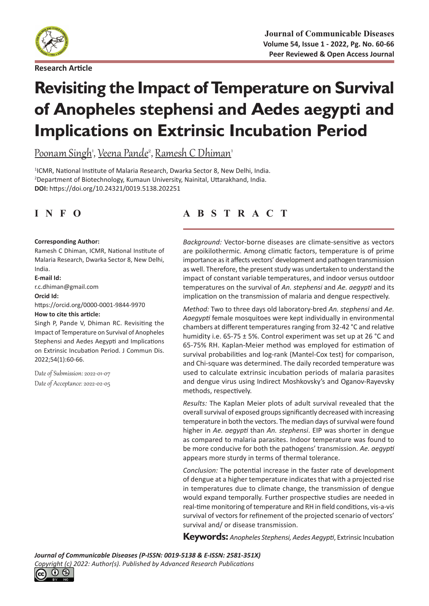

**Research Article**

# **Revisiting the Impact of Temperature on Survival of Anopheles stephensi and Aedes aegypti and Implications on Extrinsic Incubation Period**

<u>Poonam Singh', Veena Pande<sup>2</sup>, Ramesh C Dhiman'</u>

1 ICMR, National Institute of Malaria Research, Dwarka Sector 8, New Delhi, India. 2 Department of Biotechnology, Kumaun University, Nainital, Uttarakhand, India. **DOI:** https://doi.org/10.24321/0019.5138.202251

#### **Corresponding Author:**

Ramesh C Dhiman, ICMR, National Institute of Malaria Research, Dwarka Sector 8, New Delhi, India.

#### **E-mail Id:**

r.c.dhiman@gmail.com

#### **Orcid Id:**

https://orcid.org/0000-0001-9844-9970 **How to cite this article:**

Singh P, Pande V, Dhiman RC. Revisiting the Impact of Temperature on Survival of Anopheles Stephensi and Aedes Aegypti and Implications on Extrinsic Incubation Period. J Commun Dis. 2022;54(1):60-66.

Date of Submission: 2022-01-07 Date of Acceptance: 2022-02-05

# **INFO ABSTRACT**

*Background:* Vector-borne diseases are climate-sensitive as vectors are poikilothermic. Among climatic factors, temperature is of prime importance as it affects vectors' development and pathogen transmission as well. Therefore, the present study was undertaken to understand the impact of constant variable temperatures, and indoor versus outdoor temperatures on the survival of *An. stephensi* and *Ae. aegypti* and its implication on the transmission of malaria and dengue respectively.

*Method:* Two to three days old laboratory-bred *An. stephensi* and *Ae. Aaegypti* female mosquitoes were kept individually in environmental chambers at different temperatures ranging from 32-42 °C and relative humidity i.e. 65-75 ± 5%. Control experiment was set up at 26 °C and 65-75% RH. Kaplan-Meier method was employed for estimation of survival probabilities and log-rank (Mantel-Cox test) for comparison, and Chi-square was determined. The daily recorded temperature was used to calculate extrinsic incubation periods of malaria parasites and dengue virus using Indirect Moshkovsky's and Oganov-Rayevsky methods, respectively.

*Results:* The Kaplan Meier plots of adult survival revealed that the overall survival of exposed groups significantly decreased with increasing temperature in both the vectors. The median days of survival were found higher in *Ae. aegypti* than *An. stephensi*. EIP was shorter in dengue as compared to malaria parasites. Indoor temperature was found to be more conducive for both the pathogens' transmission. *Ae. aegypti* appears more sturdy in terms of thermal tolerance.

*Conclusion:* The potential increase in the faster rate of development of dengue at a higher temperature indicates that with a projected rise in temperatures due to climate change, the transmission of dengue would expand temporally. Further prospective studies are needed in real-time monitoring of temperature and RH in field conditions, vis-a-vis survival of vectors for refinement of the projected scenario of vectors' survival and/ or disease transmission.

**Keywords:** *Anopheles Stephensi, Aedes Aegypti*, Extrinsic Incubation

*Journal of Communicable Diseases (P-ISSN: 0019-5138 & E-ISSN: 2581-351X) Copyright (c) 2022: Author(s). Published by [Advanced Research Publications](http://advancedresearchpublications.com/)*

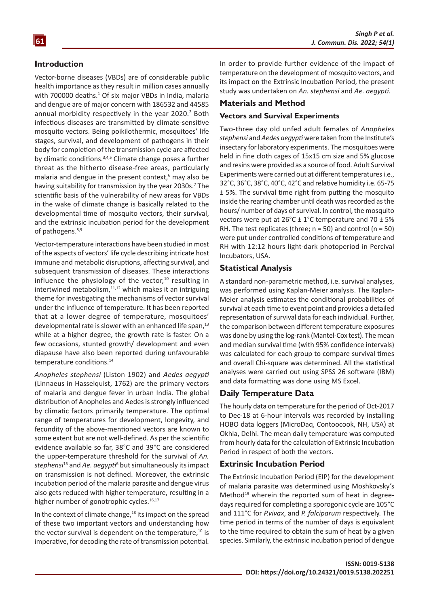#### **Introduction**

Vector-borne diseases (VBDs) are of considerable public health importance as they result in million cases annually with 700000 deaths.<sup>1</sup> Of six major VBDs in India, malaria and dengue are of major concern with 186532 and 44585 annual morbidity respectively in the year 2020.<sup>2</sup> Both infectious diseases are transmitted by climate-sensitive mosquito vectors. Being poikilothermic, mosquitoes' life stages, survival, and development of pathogens in their body for completion of the transmission cycle are affected by climatic conditions.3,4,5 Climate change poses a further threat as the hitherto disease-free areas, particularly malaria and dengue in the present context,<sup>6</sup> may also be having suitability for transmission by the year 2030s.<sup>7</sup> The scientific basis of the vulnerability of new areas for VBDs in the wake of climate change is basically related to the developmental time of mosquito vectors, their survival, and the extrinsic incubation period for the development of pathogens.<sup>8,9</sup>

Vector-temperature interactions have been studied in most of the aspects of vectors' life cycle describing intricate host immune and metabolic disruptions, affecting survival, and subsequent transmission of diseases. These interactions influence the physiology of the vector, $10$  resulting in intertwined metabolism, $11,12$  which makes it an intriguing theme for investigating the mechanisms of vector survival under the influence of temperature. It has been reported that at a lower degree of temperature, mosquitoes' developmental rate is slower with an enhanced life span,<sup>13</sup> while at a higher degree, the growth rate is faster. On a few occasions, stunted growth/ development and even diapause have also been reported during unfavourable temperature conditions.<sup>14</sup>

*Anopheles stephensi* (Liston 1902) and *Aedes aegypti*  (Linnaeus in Hasselquist, 1762) are the primary vectors of malaria and dengue fever in urban India. The global distribution of Anopheles and Aedes is strongly influenced by climatic factors primarily temperature. The optimal range of temperatures for development, longevity, and fecundity of the above-mentioned vectors are known to some extent but are not well-defined. As per the scientific evidence available so far, 38°C and 39°C are considered the upper-temperature threshold for the survival of *An. stephensi*<sup>15</sup> and *Ae. aegypti*<sup>6</sup> but simultaneously its impact on transmission is not defined. Moreover, the extrinsic incubation period of the malaria parasite and dengue virus also gets reduced with higher temperature, resulting in a higher number of gonotrophic cycles.<sup>16,17</sup>

In the context of climate change,<sup>18</sup> its impact on the spread of these two important vectors and understanding how the vector survival is dependent on the temperature, $10$  is imperative, for decoding the rate of transmission potential. In order to provide further evidence of the impact of temperature on the development of mosquito vectors, and its impact on the Extrinsic Incubation Period, the present study was undertaken on *An. stephensi* and *Ae. aegypti*.

#### **Materials and Method**

#### **Vectors and Survival Experiments**

Two-three day old unfed adult females of *Anopheles stephensi* and *Aedes aegypti* were taken from the Institute's insectary for laboratory experiments. The mosquitoes were held in fine cloth cages of 15x15 cm size and 5% glucose and resins were provided as a source of food. Adult Survival Experiments were carried out at different temperatures i.e., 32°C, 36°C, 38°C, 40°C, 42°C and relative humidity i.e. 65-75 ± 5%. The survival time right from putting the mosquito inside the rearing chamber until death was recorded as the hours/ number of days of survival. In control, the mosquito vectors were put at  $26^{\circ}$ C ± 1°C temperature and 70 ± 5% RH. The test replicates (three;  $n = 50$ ) and control ( $n = 50$ ) were put under controlled conditions of temperature and RH with 12:12 hours light-dark photoperiod in Percival Incubators, USA.

#### **Statistical Analysis**

A standard non-parametric method, i.e. survival analyses, was performed using Kaplan-Meier analysis. The Kaplan-Meier analysis estimates the conditional probabilities of survival at each time to event point and provides a detailed representation of survival data for each individual. Further, the comparison between different temperature exposures was done by using the log-rank (Mantel-Cox test). The mean and median survival time (with 95% confidence intervals) was calculated for each group to compare survival times and overall Chi-square was determined. All the statistical analyses were carried out using SPSS 26 software (IBM) and data formatting was done using MS Excel.

#### **Daily Temperature Data**

The hourly data on temperature for the period of Oct-2017 to Dec-18 at 6-hour intervals was recorded by installing HOBO data loggers (MicroDaq, Contoocook, NH, USA) at Okhla, Delhi. The mean daily temperature was computed from hourly data for the calculation of Extrinsic Incubation Period in respect of both the vectors.

#### **Extrinsic Incubation Period**

The Extrinsic Incubation Period (EIP) for the development of malaria parasite was determined using Moshkovsky's Method<sup>19</sup> wherein the reported sum of heat in degreedays required for completing a sporogonic cycle are 105°C and 111°C for *P.vivax*, and *P. falciparum* respectively. The time period in terms of the number of days is equivalent to the time required to obtain the sum of heat by a given species. Similarly, the extrinsic incubation period of dengue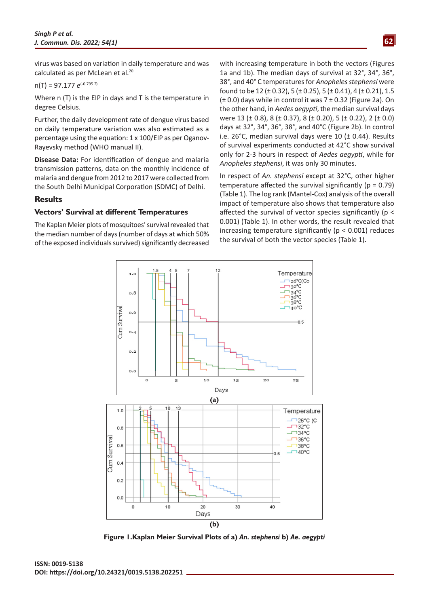virus was based on variation in daily temperature and was calculated as per McLean et al.<sup>20</sup>

$$
n(T) = 97.177 e^{(-0.795 T)}
$$

Where n (T) is the EIP in days and T is the temperature in degree Celsius.

Further, the daily development rate of dengue virus based on daily temperature variation was also estimated as a percentage using the equation: 1 x 100/EIP as per Oganov-Rayevsky method (WHO manual II).

**Disease Data:** For identification of dengue and malaria transmission patterns, data on the monthly incidence of malaria and dengue from 2012 to 2017 were collected from the South Delhi Municipal Corporation (SDMC) of Delhi.

#### **Results**

#### **Vectors' Survival at different Temperatures**

The Kaplan Meier plots of mosquitoes' survival revealed that the median number of days (number of days at which 50% of the exposed individuals survived) significantly decreased with increasing temperature in both the vectors (Figures 1a and 1b). The median days of survival at 32°, 34°, 36°, 38°, and 40° C temperatures for *Anopheles stephensi* were found to be 12 (± 0.32), 5 (± 0.25), 5 (± 0.41), 4 (± 0.21), 1.5  $(± 0.0)$  days while in control it was  $7 ± 0.32$  (Figure 2a). On the other hand, in *Aedes aegypti*, the median survival days were 13 (± 0.8), 8 (± 0.37), 8 (± 0.20), 5 (± 0.22), 2 (± 0.0) days at 32°, 34°, 36°, 38°, and 40°C (Figure 2b). In control i.e. 26°C, median survival days were 10 ( $\pm$  0.44). Results of survival experiments conducted at 42°C show survival only for 2-3 hours in respect of *Aedes aegypti*, while for *Anopheles stephensi*, it was only 30 minutes.

In respect of *An. stephensi* except at 32°C, other higher temperature affected the survival significantly ( $p = 0.79$ ) (Table 1). The log rank (Mantel-Cox) analysis of the overall impact of temperature also shows that temperature also affected the survival of vector species significantly (p < 0.001) (Table 1). In other words, the result revealed that increasing temperature significantly ( $p < 0.001$ ) reduces the survival of both the vector species (Table 1).



**Figure 1.Kaplan Meier Survival Plots of a)** *An. stephensi* **b)** *Ae. aegypti*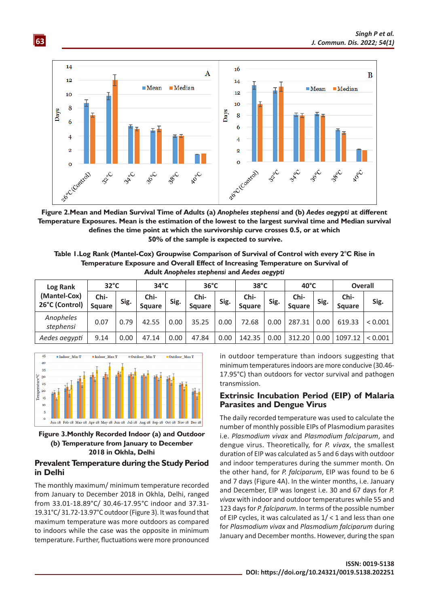

**Figure 2.Mean and Median Survival Time of Adults (a)** *Anopheles stephensi* **and (b)** *Aedes aegypti* **at different Temperature Exposures. Mean is the estimation of the lowest to the largest survival time and Median survival defines the time point at which the survivorship curve crosses 0.5, or at which 50% of the sample is expected to survive.** 

**Table 1.Log Rank (Mantel-Cox) Groupwise Comparison of Survival of Control with every 2°C Rise in Temperature Exposure and Overall Effect of Increasing Temperature on Survival of Adult** *Anopheles stephensi* **and** *Aedes aegypti*

| Log Rank<br>(Mantel-Cox)<br>26°C (Control) | $32^{\circ}$ C        |      | $34^{\circ}$ C        |      | $36^{\circ}$ C        |      | $38^{\circ}$ C        |      | $40^{\circ}$ C        |      | <b>Overall</b>        |         |
|--------------------------------------------|-----------------------|------|-----------------------|------|-----------------------|------|-----------------------|------|-----------------------|------|-----------------------|---------|
|                                            | Chi-<br><b>Square</b> | Sig. | Chi-<br><b>Square</b> | Sig. | Chi-<br><b>Square</b> | Sig. | Chi-<br><b>Square</b> | Sig. | Chi-<br><b>Square</b> | Sig. | Chi-<br><b>Square</b> | Sig.    |
| Anopheles<br>stephensi                     | 0.07                  | 0.79 | 42.55                 | 0.00 | 35.25                 | 0.00 | 72.68                 | 0.00 | 287.31                | 0.00 | 619.33                | < 0.001 |
| Aedes aegypti                              | 9.14                  | 0.00 | 47.14                 | 0.00 | 47.84                 | 0.00 | 142.35                | 0.00 | 312.20                | 0.00 | 1097.12               | < 0.001 |



**63**

**Figure 3.Monthly Recorded Indoor (a) and Outdoor (b) Temperature from January to December 2018 in Okhla, Delhi**

#### **Prevalent Temperature during the Study Period in Delhi**

The monthly maximum/ minimum temperature recorded from January to December 2018 in Okhla, Delhi, ranged from 33.01-18.89°C/ 30.46-17.95°C indoor and 37.31- 19.31°C/ 31.72-13.97°C outdoor (Figure 3). It was found that maximum temperature was more outdoors as compared to indoors while the case was the opposite in minimum temperature. Further, fluctuations were more pronounced in outdoor temperature than indoors suggesting that minimum temperatures indoors are more conducive (30.46- 17.95°C) than outdoors for vector survival and pathogen transmission.

#### **Extrinsic Incubation Period (EIP) of Malaria Parasites and Dengue Virus**

The daily recorded temperature was used to calculate the number of monthly possible EIPs of Plasmodium parasites i.e. *Plasmodium vivax* and *Plasmodium falciparum*, and dengue virus. Theoretically, for *P. vivax*, the smallest duration of EIP was calculated as 5 and 6 days with outdoor and indoor temperatures during the summer month. On the other hand, for *P. falciparum*, EIP was found to be 6 and 7 days (Figure 4A). In the winter months, i.e. January and December, EIP was longest i.e. 30 and 67 days for *P. vivax* with indoor and outdoor temperatures while 55 and 123 days for *P. falciparum*. In terms of the possible number of EIP cycles, it was calculated as  $1/ < 1$  and less than one for *Plasmodium vivax* and *Plasmodium falciparum* during January and December months. However, during the span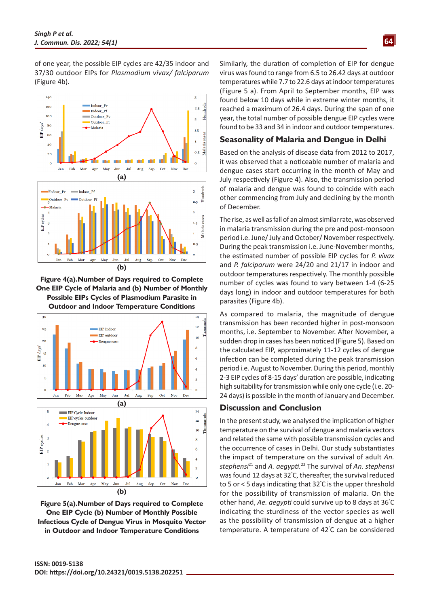of one year, the possible EIP cycles are 42/35 indoor and 37/30 outdoor EIPs for *Plasmodium vivax/ falciparum* (Figure 4b).



**Figure 4(a).Number of Days required to Complete One EIP Cycle of Malaria and (b) Number of Monthly Possible EIPs Cycles of Plasmodium Parasite in Outdoor and Indoor Temperature Conditions**



**Figure 5(a).Number of Days required to Complete One EIP Cycle (b) Number of Monthly Possible Infectious Cycle of Dengue Virus in Mosquito Vector in Outdoor and Indoor Temperature Conditions**

Similarly, the duration of completion of EIP for dengue virus was found to range from 6.5 to 26.42 days at outdoor temperatures while 7.7 to 22.6 days at indoor temperatures (Figure 5 a). From April to September months, EIP was found below 10 days while in extreme winter months, it reached a maximum of 26.4 days. During the span of one year, the total number of possible dengue EIP cycles were found to be 33 and 34 in indoor and outdoor temperatures.

# **Seasonality of Malaria and Dengue in Delhi**

Based on the analysis of disease data from 2012 to 2017, it was observed that a noticeable number of malaria and dengue cases start occurring in the month of May and July respectively (Figure 4). Also, the transmission period of malaria and dengue was found to coincide with each other commencing from July and declining by the month of December.

The rise, as well as fall of an almost similar rate, was observed in malaria transmission during the pre and post-monsoon period i.e. June/ July and October/ November respectively. During the peak transmission i.e. June-November months, the estimated number of possible EIP cycles for *P. vivax* and *P. falciparum* were 24/20 and 21/17 in indoor and outdoor temperatures respectively. The monthly possible number of cycles was found to vary between 1-4 (6-25 days long) in indoor and outdoor temperatures for both parasites (Figure 4b).

As compared to malaria, the magnitude of dengue transmission has been recorded higher in post-monsoon months, i.e. September to November. After November, a sudden drop in cases has been noticed (Figure 5). Based on the calculated EIP, approximately 11-12 cycles of dengue infection can be completed during the peak transmission period i.e. August to November. During this period, monthly 2-3 EIP cycles of 8-15 days' duration are possible, indicating high suitability for transmission while only one cycle (i.e. 20- 24 days) is possible in the month of January and December.

#### **Discussion and Conclusion**

In the present study, we analysed the implication of higher temperature on the survival of dengue and malaria vectors and related the same with possible transmission cycles and the occurrence of cases in Delhi. Our study substantiates the impact of temperature on the survival of adult *An. stephensi*<sup>21</sup> and *A. aegypti.*<sup>22</sup> The survival of *An. stephensi* was found 12 days at 32° C, thereafter, the survival reduced to 5 or < 5 days indicating that 32° C is the upper threshold for the possibility of transmission of malaria. On the other hand, *Ae. aegypti* could survive up to 8 days at 36° C indicating the sturdiness of the vector species as well as the possibility of transmission of dengue at a higher temperature. A temperature of 42° C can be considered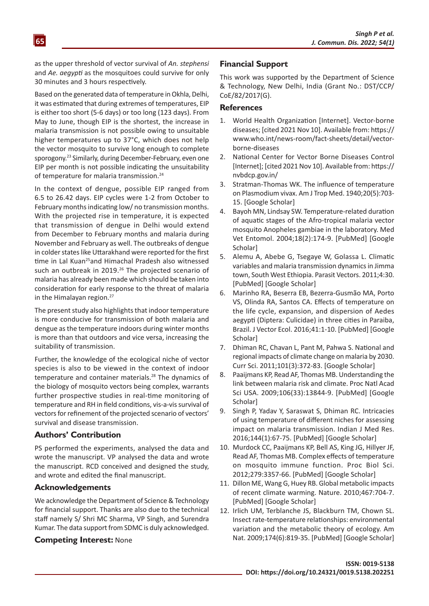as the upper threshold of vector survival of *An. stephensi* and *Ae. aegypti* as the mosquitoes could survive for only 30 minutes and 3 hours respectively.

**65**

Based on the generated data of temperature in Okhla, Delhi, it was estimated that during extremes of temperatures, EIP is either too short (5-6 days) or too long (123 days). From May to June, though EIP is the shortest, the increase in malaria transmission is not possible owing to unsuitable higher temperatures up to 37°C, which does not help the vector mosquito to survive long enough to complete sporogony.23 Similarly, during December-February, even one EIP per month is not possible indicating the unsuitability of temperature for malaria transmission.<sup>24</sup>

In the context of dengue, possible EIP ranged from 6.5 to 26.42 days. EIP cycles were 1-2 from October to February months indicating low/ no transmission months. With the projected rise in temperature, it is expected that transmission of dengue in Delhi would extend from December to February months and malaria during November and February as well. The outbreaks of dengue in colder states like Uttarakhand were reported for the first time in Lal Kuan<sup>25</sup>and Himachal Pradesh also witnessed such an outbreak in 2019.<sup>26</sup> The projected scenario of malaria has already been made which should be taken into consideration for early response to the threat of malaria in the Himalayan region.<sup>27</sup>

The present study also highlights that indoor temperature is more conducive for transmission of both malaria and dengue as the temperature indoors during winter months is more than that outdoors and vice versa, increasing the suitability of transmission.

Further, the knowledge of the ecological niche of vector species is also to be viewed in the context of indoor temperature and container materials.<sup>28</sup> The dynamics of the biology of mosquito vectors being complex, warrants further prospective studies in real-time monitoring of temperature and RH in field conditions, vis-a-vis survival of vectors for refinement of the projected scenario of vectors' survival and disease transmission.

# **Authors' Contribution**

PS performed the experiments, analysed the data and wrote the manuscript. VP analysed the data and wrote the manuscript. RCD conceived and designed the study, and wrote and edited the final manuscript.

# **Acknowledgements**

We acknowledge the Department of Science & Technology for financial support. Thanks are also due to the technical staff namely S/ Shri MC Sharma, VP Singh, and Surendra Kumar. The data support from SDMC is duly acknowledged.

# **Competing Interest:** None

### **Financial Support**

This work was supported by the Department of Science & Technology, New Delhi, India (Grant No.: DST/CCP/ CoE/82/2017(G).

#### **References**

- 1. World Health Organization [Internet]. Vector-borne diseases; [cited 2021 Nov 10]. Available from: [https://](https://www.who.int/news-room/fact-sheets/detail/vector-borne-diseases) [www.who.int/news-room/fact-sheets/detail/vector](https://www.who.int/news-room/fact-sheets/detail/vector-borne-diseases)[borne-diseases](https://www.who.int/news-room/fact-sheets/detail/vector-borne-diseases)
- 2. National Center for Vector Borne Diseases Control [Internet]; [cited 2021 Nov 10]. Available from: [https://](https://nvbdcp.gov.in/) [nvbdcp.gov.in/](https://nvbdcp.gov.in/)
- 3. Stratman-Thomas WK. The influence of temperature on Plasmodium vivax. Am J Trop Med. 1940;20(5):703- 15. [\[Google Scholar](https://scholar.google.com/scholar?q=The+influence+of+temperature+on+Plasmodium+vivax&hl=en&as_sdt=0,5)]
- 4. Bayoh MN, Lindsay SW. Temperature-related duration of aquatic stages of the Afro-tropical malaria vector mosquito Anopheles gambiae in the laboratory. Med Vet Entomol. 2004;18(2):174-9. [\[PubMed](https://pubmed.ncbi.nlm.nih.gov/15189243/)] [\[Google](https://scholar.google.com/scholar?hl=en&as_sdt=0%2C5&q=Temperature-related+duration+of+aquatic+stages+of+the+Afro-tropical+malaria+vector+mosquito+Anopheles+gambiae+in+the+laboratory&btnG=) [Scholar\]](https://scholar.google.com/scholar?hl=en&as_sdt=0%2C5&q=Temperature-related+duration+of+aquatic+stages+of+the+Afro-tropical+malaria+vector+mosquito+Anopheles+gambiae+in+the+laboratory&btnG=)
- 5. Alemu A, Abebe G, Tsegaye W, Golassa L. Climatic variables and malaria transmission dynamics in Jimma town, South West Ethiopia. Parasit Vectors. 2011;4:30. [\[PubMed\]](https://pubmed.ncbi.nlm.nih.gov/21366906/) [\[Google Scholar](https://scholar.google.com/scholar?hl=en&as_sdt=0%2C5&q=Climatic+variables+and+malaria+transmission+dynamics+in+Jimma+town%2C+South+West+Ethiopia&btnG=)]
- 6. Marinho RA, Beserra EB, Bezerra-Gusmão MA, Porto VS, Olinda RA, Santos CA. Effects of temperature on the life cycle, expansion, and dispersion of Aedes aegypti (Diptera: Culicidae) in three cities in Paraiba, Brazil. J Vector Ecol. 2016;41:1-10. [\[PubMed\]](https://pubmed.ncbi.nlm.nih.gov/27232118/) [\[Google](https://scholar.google.com/scholar?hl=en&as_sdt=0%2C5&q=Effects+of+temperature+on+the+life+cycle%2C+expansion%2C+and+dispersion+of+Aedes+aegypti+%28Diptera%3A+Culicidae%29+in+three+cities+in+Paraiba%2C+Brazil&btnG=) [Scholar\]](https://scholar.google.com/scholar?hl=en&as_sdt=0%2C5&q=Effects+of+temperature+on+the+life+cycle%2C+expansion%2C+and+dispersion+of+Aedes+aegypti+%28Diptera%3A+Culicidae%29+in+three+cities+in+Paraiba%2C+Brazil&btnG=)
- 7. Dhiman RC, Chavan L, Pant M, Pahwa S. National and regional impacts of climate change on malaria by 2030. Curr Sci. 2011;101(3):372-83. [\[Google Scholar](https://scholar.google.com/scholar?hl=en&as_sdt=0%2C5&q=National+and+regional+impacts+of+climate+change+on+malaria+by+2030&btnG=)]
- 8. Paaijmans KP, Read AF, Thomas MB. Understanding the link between malaria risk and climate. Proc Natl Acad Sci USA. 2009;106(33):13844-9. [\[PubMed](https://pubmed.ncbi.nlm.nih.gov/19666598/)] [\[Google](https://scholar.google.com/scholar?hl=en&as_sdt=0%2C5&q=10.1073%2Fpnas.0903423106&btnG=) **Scholarl**
- 9. Singh P, Yadav Y, Saraswat S, Dhiman RC. Intricacies of using temperature of different niches for assessing impact on malaria transmission. Indian J Med Res. 2016;144(1):67-75. [\[PubMed\]](https://pubmed.ncbi.nlm.nih.gov/27834328/) [\[Google Scholar\]](https://scholar.google.com/scholar?hl=en&as_sdt=0%2C5&q=Intricacies+of+using+temperature+of+different+niches+for+assessing+impact+on+malaria+transmission&btnG=)
- 10. Murdock CC, Paaijmans KP, Bell AS, King JG, Hillyer JF, Read AF, Thomas MB. Complex effects of temperature on mosquito immune function. Proc Biol Sci. 2012;279:3357-66. [\[PubMed\]](https://pubmed.ncbi.nlm.nih.gov/22593107/) [\[Google Scholar](https://scholar.google.com/scholar?hl=en&as_sdt=0%2C5&q=Complex+effects+of+temperature+on+mosquito+immune+function&btnG=)]
- 11. Dillon ME, Wang G, Huey RB. Global metabolic impacts of recent climate warming. Nature. 2010;467:704-7. [\[PubMed\]](https://pubmed.ncbi.nlm.nih.gov/20930843/) [\[Google Scholar](https://scholar.google.com/scholar?hl=en&as_sdt=0%2C5&q=Global+metabolic+impacts+of+recent+climate+warming&btnG=)]
- 12. [Irlich UM](https://www.ncbi.nlm.nih.gov/pubmed/?term=Irlich%20UM%5BAuthor%5D&cauthor=true&cauthor_uid=19860549), [Terblanche JS](https://www.ncbi.nlm.nih.gov/pubmed/?term=Terblanche%20JS%5BAuthor%5D&cauthor=true&cauthor_uid=19860549), [Blackburn TM](https://www.ncbi.nlm.nih.gov/pubmed/?term=Blackburn%20TM%5BAuthor%5D&cauthor=true&cauthor_uid=19860549), [Chown SL](https://www.ncbi.nlm.nih.gov/pubmed/?term=Chown%20SL%5BAuthor%5D&cauthor=true&cauthor_uid=19860549). Insect rate-temperature relationships: environmental variation and the metabolic theory of ecology. [Am](https://www.ncbi.nlm.nih.gov/pubmed/19860549) [Nat.](https://www.ncbi.nlm.nih.gov/pubmed/19860549) 2009;174(6):819-35. [[PubMed\]](https://pubmed.ncbi.nlm.nih.gov/19860549/) [\[Google Scholar](https://scholar.google.com/scholar?hl=en&as_sdt=0%2C5&q=Insect+rate-temperature+relationships%3A+environmental+variation+and+the+metabolic+theory+of+ecology&btnG=)]